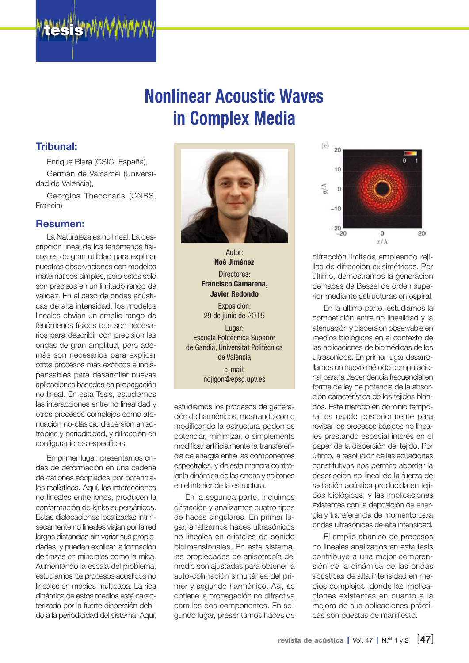

# Nonlinear Acoustic Waves in Complex Media

### Tribunal:

Enrique Riera (CSIC, España), Germán de Valcárcel (Universidad de Valencia),

Georgios Theocharis (CNRS, Francia)

#### Resumen:

La Naturaleza es no lineal. La descripción lineal de los fenómenos físicos es de gran utilidad para explicar nuestras observaciones con modelos matemáticos simples, pero éstos sólo son precisos en un limitado rango de validez. En el caso de ondas acústicas de alta intensidad, los modelos lineales obvian un amplio rango de fenómenos físicos que son necesarios para describir con precisión las ondas de gran amplitud, pero además son necesarios para explicar otros procesos más exóticos e indispensables para desarrollar nuevas aplicaciones basadas en propagación no lineal. En esta Tesis, estudiamos las interacciones entre no linealidad y otros procesos complejos como atenuación no-clásica, dispersión anisotrópica y periodicidad, y difracción en configuraciones específicas.

En primer lugar, presentamos ondas de deformación en una cadena de cationes acoplados por potenciales realísticas. Aquí, las interacciones no lineales entre iones, producen la conformación de kinks supersónicos. Estas dislocaciones localizadas intrínsecamente no lineales viajan por la red largas distancias sin variar sus propiedades, y pueden explicar la formación de trazas en minerales como la mica. Aumentando la escala del problema, estudiamos los procesos acústicos no lineales en medios multicapa. La rica dinámica de estos medios está caracterizada por la fuerte dispersión debido a la periodicidad del sistema. Aquí,



Autor: Noé Jiménez Directores: Francisco Camarena, Javier Redondo Exposición: 29 de junio de 2015 Lugar: Escuela Politécnica Superior de Gandia, Universitat Politècnica de València e-mail: nojigon@epsg.upv.es

estudiamos los procesos de generación de harmónicos, mostrando como modificando la estructura podemos potenciar, minimizar, o simplemente modificar artificialmente la transferencia de energía entre las componentes espectrales, y de esta manera controlar la dinámica de las ondas y solitones en el interior de la estructura.

En la segunda parte, incluimos difracción y analizamos cuatro tipos de haces singulares. En primer lugar, analizamos haces ultrasónicos no lineales en cristales de sonido bidimensionales. En este sistema, las propiedades de anisotropía del medio son ajustadas para obtener la auto-colimación simultánea del primer y segundo harmónico. Así, se obtiene la propagación no difractiva para las dos componentes. En segundo lugar, presentamos haces de



difracción limitada empleando rejillas de difracción axisimétricas. Por último, demostramos la generación de haces de Bessel de orden superior mediante estructuras en espiral.

En la última parte, estudiamos la competición entre no linealidad y la atenuación y dispersión observable en medios biológicos en el contexto de las aplicaciones de biomédicas de los ultrasonidos. En primer lugar desarrollamos un nuevo método computacional para la dependencia frecuencial en forma de ley de potencia de la absorción característica de los tejidos blandos. Este método en dominio temporal es usado posteriormente para revisar los procesos básicos no lineales prestando especial interés en el paper de la dispersión del tejido. Por último, la resolución de las ecuaciones constitutivas nos permite abordar la descripción no lineal de la fuerza de radiación acústica producida en tejidos biológicos, y las implicaciones existentes con la deposición de energía y transferencia de momento para ondas ultrasónicas de alta intensidad.

El amplio abanico de procesos no lineales analizados en esta tesis contribuye a una mejor comprensión de la dinámica de las ondas acústicas de alta intensidad en medios complejos, donde las implicaciones existentes en cuanto a la mejora de sus aplicaciones prácticas son puestas de manifiesto.